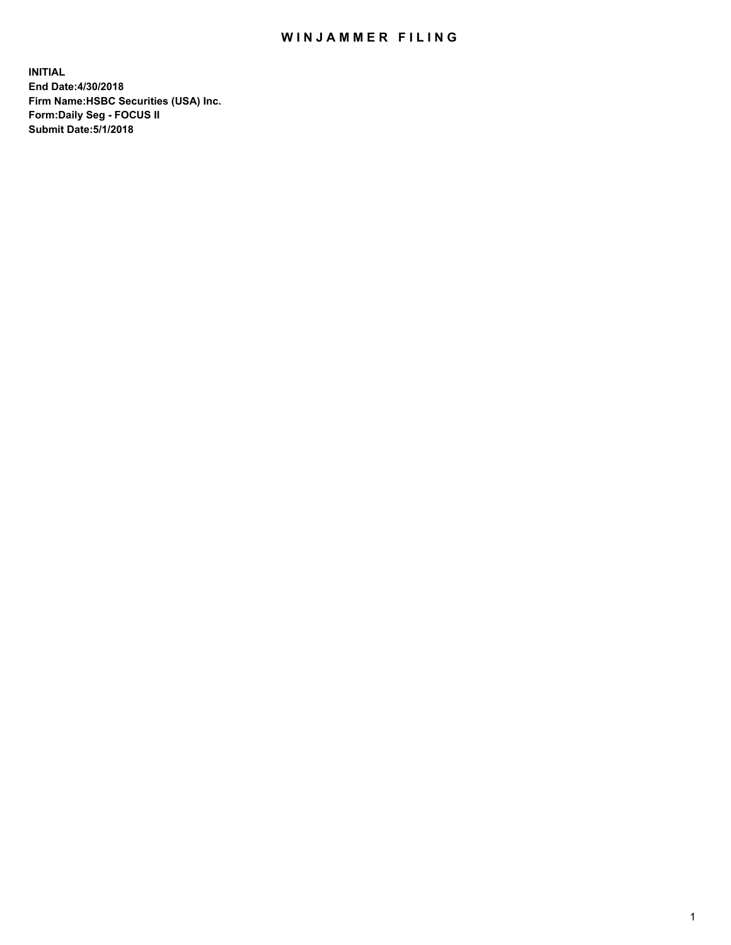## WIN JAMMER FILING

**INITIAL End Date:4/30/2018 Firm Name:HSBC Securities (USA) Inc. Form:Daily Seg - FOCUS II Submit Date:5/1/2018**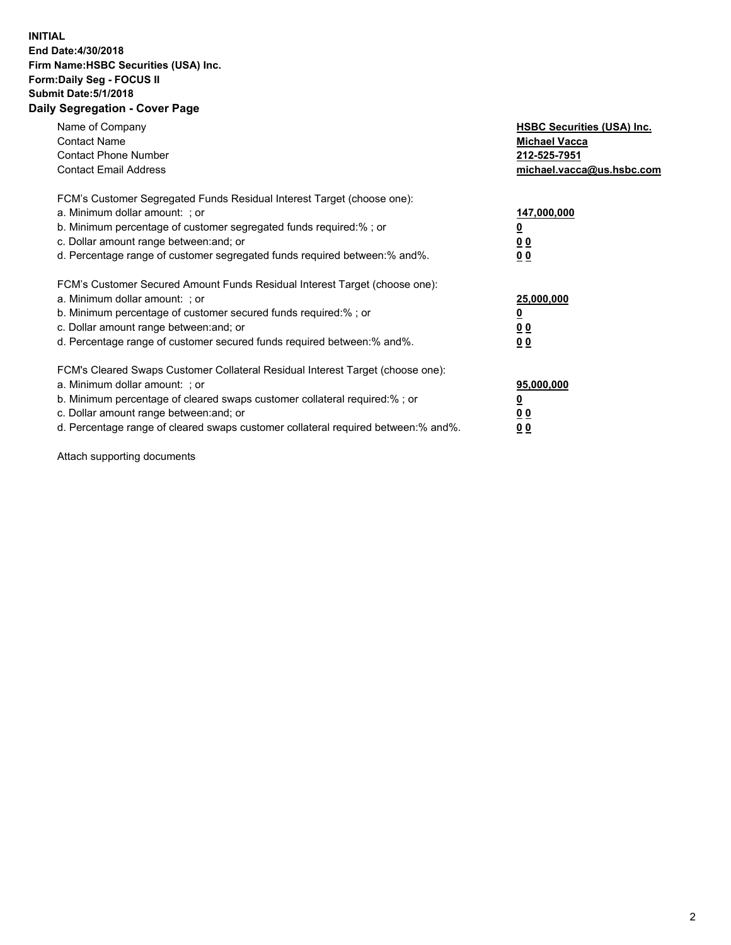## **INITIAL End Date:4/30/2018 Firm Name:HSBC Securities (USA) Inc. Form:Daily Seg - FOCUS II Submit Date:5/1/2018 Daily Segregation - Cover Page**

| Name of Company<br><b>Contact Name</b><br><b>Contact Phone Number</b><br><b>Contact Email Address</b>                                                                                                                                                                                                                         | <b>HSBC Securities (USA) Inc.</b><br><b>Michael Vacca</b><br>212-525-7951<br>michael.vacca@us.hsbc.com |
|-------------------------------------------------------------------------------------------------------------------------------------------------------------------------------------------------------------------------------------------------------------------------------------------------------------------------------|--------------------------------------------------------------------------------------------------------|
| FCM's Customer Segregated Funds Residual Interest Target (choose one):<br>a. Minimum dollar amount: ; or<br>b. Minimum percentage of customer segregated funds required:%; or<br>c. Dollar amount range between: and; or<br>d. Percentage range of customer segregated funds required between: % and %.                       | 147,000,000<br><u>0</u><br><u>00</u><br>00                                                             |
| FCM's Customer Secured Amount Funds Residual Interest Target (choose one):<br>a. Minimum dollar amount: ; or<br>b. Minimum percentage of customer secured funds required:%; or<br>c. Dollar amount range between: and; or<br>d. Percentage range of customer secured funds required between: % and %.                         | 25,000,000<br><u>0</u><br><u>00</u><br>00                                                              |
| FCM's Cleared Swaps Customer Collateral Residual Interest Target (choose one):<br>a. Minimum dollar amount: ; or<br>b. Minimum percentage of cleared swaps customer collateral required:%; or<br>c. Dollar amount range between: and; or<br>d. Percentage range of cleared swaps customer collateral required between:% and%. | 95,000,000<br><u>0</u><br><u>00</u><br><u>00</u>                                                       |

Attach supporting documents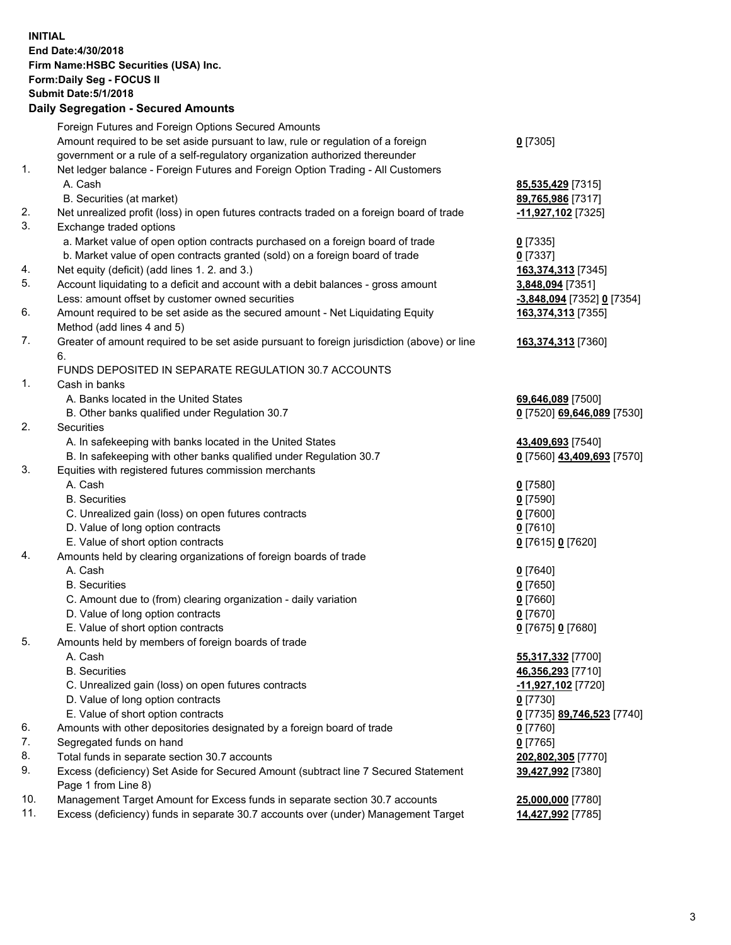**INITIAL End Date:4/30/2018 Firm Name:HSBC Securities (USA) Inc. Form:Daily Seg - FOCUS II Submit Date:5/1/2018 Daily Segregation - Secured Amounts** Foreign Futures and Foreign Options Secured Amounts Amount required to be set aside pursuant to law, rule or regulation of a foreign government or a rule of a self-regulatory organization authorized thereunder **0** [7305] 1. Net ledger balance - Foreign Futures and Foreign Option Trading - All Customers A. Cash **85,535,429** [7315] B. Securities (at market) **89,765,986** [7317] 2. Net unrealized profit (loss) in open futures contracts traded on a foreign board of trade **-11,927,102** [7325] 3. Exchange traded options a. Market value of open option contracts purchased on a foreign board of trade **0** [7335] b. Market value of open contracts granted (sold) on a foreign board of trade **0** [7337] 4. Net equity (deficit) (add lines 1. 2. and 3.) **163,374,313** [7345] 5. Account liquidating to a deficit and account with a debit balances - gross amount **3,848,094** [7351] Less: amount offset by customer owned securities **-3,848,094** [7352] **0** [7354] 6. Amount required to be set aside as the secured amount - Net Liquidating Equity Method (add lines 4 and 5) **163,374,313** [7355] 7. Greater of amount required to be set aside pursuant to foreign jurisdiction (above) or line 6. **163,374,313** [7360] FUNDS DEPOSITED IN SEPARATE REGULATION 30.7 ACCOUNTS 1. Cash in banks A. Banks located in the United States **69,646,089** [7500] B. Other banks qualified under Regulation 30.7 **0** [7520] **69,646,089** [7530] 2. Securities A. In safekeeping with banks located in the United States **43,409,693** [7540] B. In safekeeping with other banks qualified under Regulation 30.7 **0** [7560] **43,409,693** [7570] 3. Equities with registered futures commission merchants A. Cash **0** [7580] B. Securities **0** [7590] C. Unrealized gain (loss) on open futures contracts **0** [7600] D. Value of long option contracts **0** [7610] E. Value of short option contracts **0** [7615] **0** [7620] 4. Amounts held by clearing organizations of foreign boards of trade A. Cash **0** [7640] B. Securities **0** [7650] C. Amount due to (from) clearing organization - daily variation **0** [7660] D. Value of long option contracts **0** [7670] E. Value of short option contracts **0** [7675] **0** [7680] 5. Amounts held by members of foreign boards of trade A. Cash **55,317,332** [7700] B. Securities **46,356,293** [7710] C. Unrealized gain (loss) on open futures contracts **-11,927,102** [7720] D. Value of long option contracts **0** [7730] E. Value of short option contracts **0** [7735] **89,746,523** [7740] 6. Amounts with other depositories designated by a foreign board of trade **0** [7760] 7. Segregated funds on hand **0** [7765] 8. Total funds in separate section 30.7 accounts **202,802,305** [7770] 9. Excess (deficiency) Set Aside for Secured Amount (subtract line 7 Secured Statement Page 1 from Line 8) **39,427,992** [7380] 10. Management Target Amount for Excess funds in separate section 30.7 accounts **25,000,000** [7780] 11. Excess (deficiency) funds in separate 30.7 accounts over (under) Management Target **14,427,992** [7785]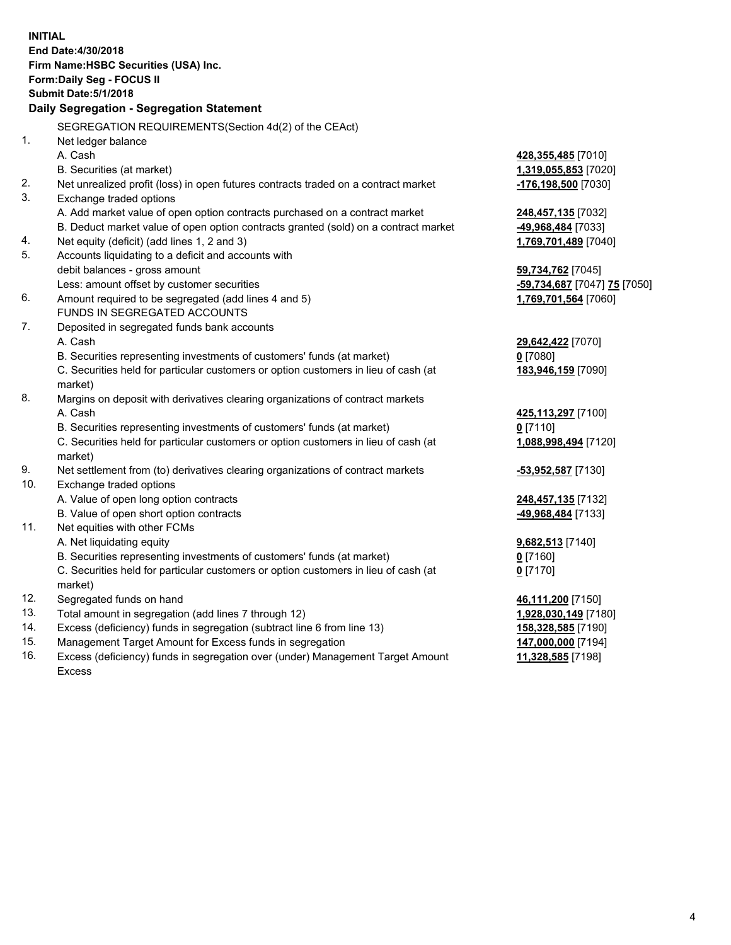| <b>INITIAL</b> | End Date: 4/30/2018<br>Firm Name: HSBC Securities (USA) Inc.<br><b>Form:Daily Seg - FOCUS II</b><br><b>Submit Date: 5/1/2018</b><br>Daily Segregation - Segregation Statement |                                                  |
|----------------|-------------------------------------------------------------------------------------------------------------------------------------------------------------------------------|--------------------------------------------------|
|                | SEGREGATION REQUIREMENTS(Section 4d(2) of the CEAct)                                                                                                                          |                                                  |
| 1.             | Net ledger balance                                                                                                                                                            |                                                  |
|                | A. Cash                                                                                                                                                                       | 428,355,485 [7010]                               |
|                | B. Securities (at market)                                                                                                                                                     | 1,319,055,853 [7020]                             |
| 2.             | Net unrealized profit (loss) in open futures contracts traded on a contract market                                                                                            | <mark>-176,198,500</mark> [7030]                 |
| 3.             | Exchange traded options                                                                                                                                                       |                                                  |
|                | A. Add market value of open option contracts purchased on a contract market                                                                                                   | 248,457,135 [7032]                               |
|                | B. Deduct market value of open option contracts granted (sold) on a contract market                                                                                           | <u>-49,968,484</u> [7033]                        |
| 4.             | Net equity (deficit) (add lines 1, 2 and 3)                                                                                                                                   | 1,769,701,489 [7040]                             |
| 5.             | Accounts liquidating to a deficit and accounts with                                                                                                                           |                                                  |
|                | debit balances - gross amount                                                                                                                                                 | 59,734,762 [7045]                                |
|                | Less: amount offset by customer securities                                                                                                                                    | <mark>-59,734,687</mark> [7047] <u>75</u> [7050] |
| 6.             | Amount required to be segregated (add lines 4 and 5)                                                                                                                          | 1,769,701,564 [7060]                             |
|                | FUNDS IN SEGREGATED ACCOUNTS                                                                                                                                                  |                                                  |
| 7.             | Deposited in segregated funds bank accounts                                                                                                                                   |                                                  |
|                | A. Cash                                                                                                                                                                       | 29,642,422 [7070]                                |
|                | B. Securities representing investments of customers' funds (at market)                                                                                                        | <u>0</u> [7080]                                  |
|                | C. Securities held for particular customers or option customers in lieu of cash (at<br>market)                                                                                | 183,946,159 [7090]                               |
| 8.             | Margins on deposit with derivatives clearing organizations of contract markets                                                                                                |                                                  |
|                | A. Cash                                                                                                                                                                       | 425,113,297 [7100]                               |
|                | B. Securities representing investments of customers' funds (at market)                                                                                                        | 0 <sup>[7110]</sup>                              |
|                | C. Securities held for particular customers or option customers in lieu of cash (at<br>market)                                                                                | 1,088,998,494 [7120]                             |
| 9.             | Net settlement from (to) derivatives clearing organizations of contract markets                                                                                               | <u>-53,952,587</u> [7130]                        |
| 10.            | Exchange traded options                                                                                                                                                       |                                                  |
|                | A. Value of open long option contracts                                                                                                                                        | 248,457,135 [7132]                               |
|                | B. Value of open short option contracts                                                                                                                                       | -49,968,484 [7133]                               |
| 11.            | Net equities with other FCMs                                                                                                                                                  |                                                  |
|                | A. Net liquidating equity                                                                                                                                                     | 9,682,513 [7140]                                 |
|                | B. Securities representing investments of customers' funds (at market)                                                                                                        | $0$ [7160]                                       |
|                | C. Securities held for particular customers or option customers in lieu of cash (at                                                                                           | $0$ [7170]                                       |
|                | market)                                                                                                                                                                       |                                                  |
| 12.            | Segregated funds on hand                                                                                                                                                      | 46,111,200 [7150]                                |
| 13.            | Total amount in segregation (add lines 7 through 12)                                                                                                                          | 1,928,030,149 [7180]                             |
| 14.            | Excess (deficiency) funds in segregation (subtract line 6 from line 13)                                                                                                       | 158,328,585 [7190]                               |
| 15.            | Management Target Amount for Excess funds in segregation                                                                                                                      | 147,000,000 [7194]                               |

16. Excess (deficiency) funds in segregation over (under) Management Target Amount Excess

**11,328,585** [7198]